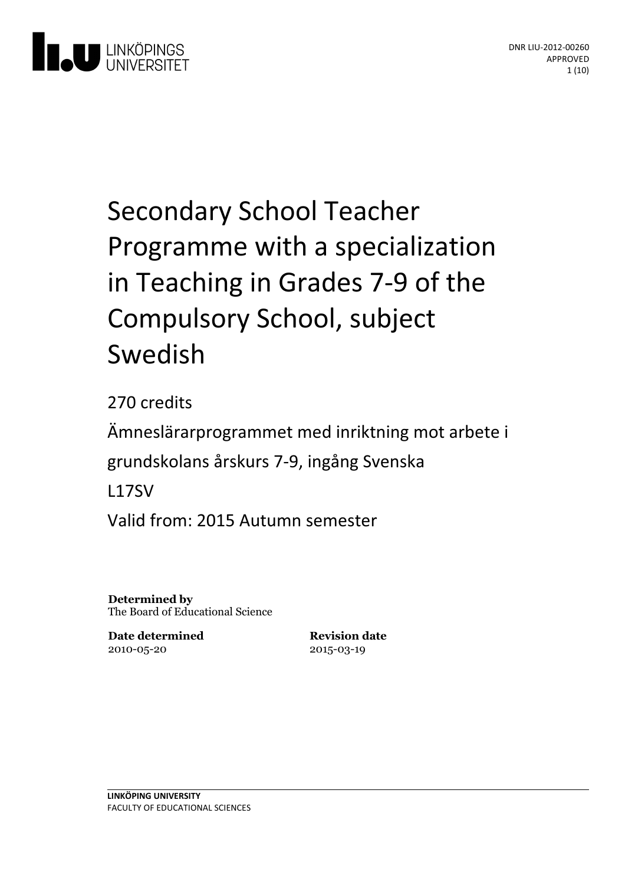

# Secondary School Teacher Programme with a specialization in Teaching in Grades 7-9 of the Compulsory School, subject Swedish

270 credits Ämneslärarprogrammet med inriktning motarbete i grundskolans årskurs 7-9, ingång Svenska L17SV Valid from: 2015 Autumn semester

**Determined by** The Board of Educational Science

**Date determined** 2010-05-20

**Revision date** 2015-03-19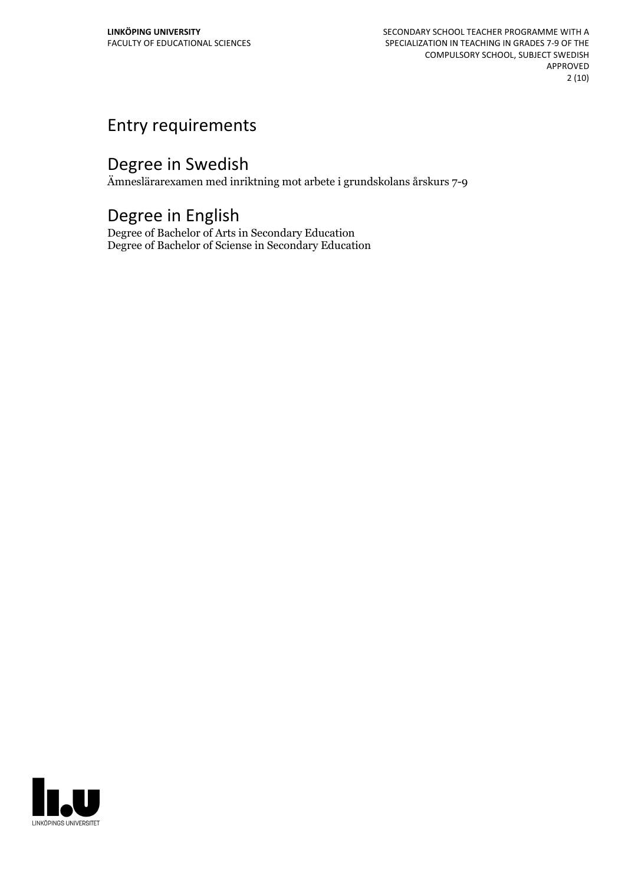# Entry requirements

# Degree in Swedish

Ämneslärarexamen med inriktning mot arbete i grundskolans årskurs 7-9

# Degree in English

Degree of Bachelor of Arts in Secondary Education Degree of Bachelor of Sciense in Secondary Education

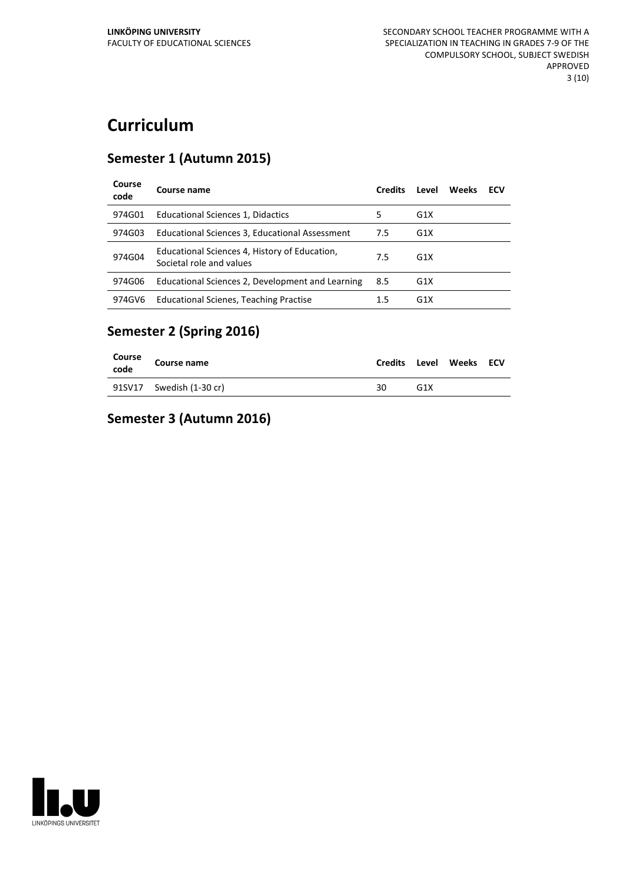# **Curriculum**

#### **Semester 1 (Autumn 2015)**

| Course<br>code | Course name                                                               | <b>Credits</b> | Level            | Weeks | ECV |
|----------------|---------------------------------------------------------------------------|----------------|------------------|-------|-----|
| 974G01         | Educational Sciences 1, Didactics                                         | 5              | G <sub>1</sub> X |       |     |
| 974G03         | Educational Sciences 3, Educational Assessment                            | 7.5            | G <sub>1</sub> X |       |     |
| 974G04         | Educational Sciences 4, History of Education,<br>Societal role and values | 7.5            | G <sub>1</sub> X |       |     |
| 974G06         | Educational Sciences 2, Development and Learning                          | 8.5            | G <sub>1</sub> X |       |     |
| 974GV6         | <b>Educational Scienes, Teaching Practise</b>                             | 1.5            | G <sub>1</sub> X |       |     |

## **Semester 2 (Spring 2016)**

| Course<br>code | Course name              | Credits | Level | Weeks ECV |  |
|----------------|--------------------------|---------|-------|-----------|--|
|                | 91SV17 Swedish (1-30 cr) | 30      | G1X   |           |  |

#### **Semester 3 (Autumn 2016)**

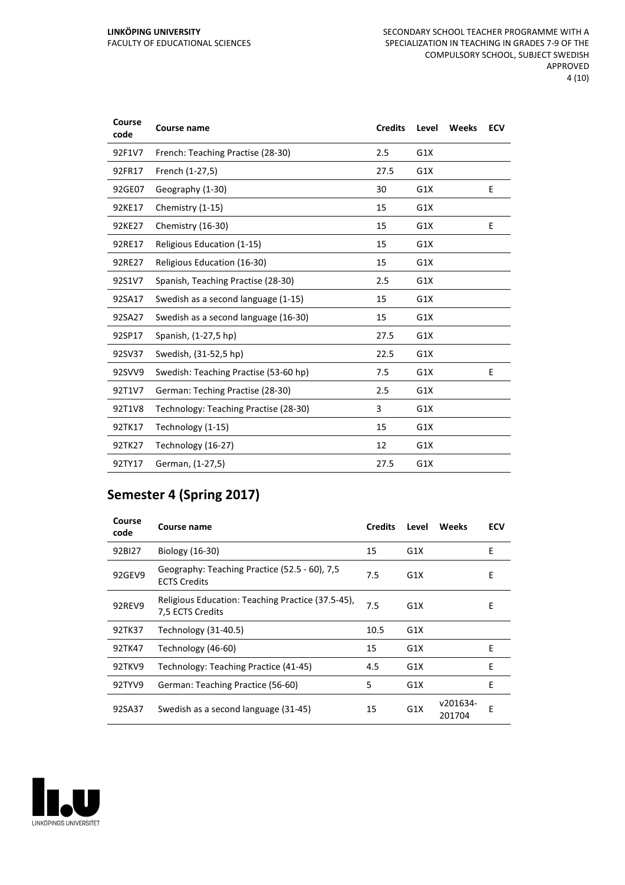| Course<br>code | <b>Course name</b>                    | <b>Credits</b> | Level | Weeks | <b>ECV</b> |
|----------------|---------------------------------------|----------------|-------|-------|------------|
| 92F1V7         | French: Teaching Practise (28-30)     | 2.5            | G1X   |       |            |
| 92FR17         | French (1-27,5)                       | 27.5           | G1X   |       |            |
| 92GE07         | Geography (1-30)                      | 30             | G1X   |       | E          |
| 92KE17         | Chemistry (1-15)                      | 15             | G1X   |       |            |
| 92KE27         | Chemistry (16-30)                     | 15             | G1X   |       | E          |
| 92RE17         | Religious Education (1-15)            | 15             | G1X   |       |            |
| 92RE27         | Religious Education (16-30)           | 15             | G1X   |       |            |
| 92S1V7         | Spanish, Teaching Practise (28-30)    | 2.5            | G1X   |       |            |
| 92SA17         | Swedish as a second language (1-15)   | 15             | G1X   |       |            |
| 92SA27         | Swedish as a second language (16-30)  | 15             | G1X   |       |            |
| 92SP17         | Spanish, (1-27,5 hp)                  | 27.5           | G1X   |       |            |
| 92SV37         | Swedish, (31-52,5 hp)                 | 22.5           | G1X   |       |            |
| 92SVV9         | Swedish: Teaching Practise (53-60 hp) | 7.5            | G1X   |       | E          |
| 92T1V7         | German: Teching Practise (28-30)      | 2.5            | G1X   |       |            |
| 92T1V8         | Technology: Teaching Practise (28-30) | 3              | G1X   |       |            |
| 92TK17         | Technology (1-15)                     | 15             | G1X   |       |            |
| 92TK27         | Technology (16-27)                    | 12             | G1X   |       |            |
| 92TY17         | German, (1-27,5)                      | 27.5           | G1X   |       |            |

# **Semester 4 (Spring 2017)**

| Course<br>code | Course name                                                           | <b>Credits</b> | Level            | Weeks              | <b>ECV</b> |
|----------------|-----------------------------------------------------------------------|----------------|------------------|--------------------|------------|
| 92BI27         | Biology (16-30)                                                       | 15             | G1X              |                    | E          |
| 92GEV9         | Geography: Teaching Practice (52.5 - 60), 7,5<br><b>ECTS Credits</b>  | 7.5            | G1X              |                    | E          |
| 92REV9         | Religious Education: Teaching Practice (37.5-45),<br>7,5 ECTS Credits | 7.5            | G1X              |                    | E          |
| 92TK37         | Technology (31-40.5)                                                  | 10.5           | G <sub>1</sub> X |                    |            |
| 92TK47         | Technology (46-60)                                                    | 15             | G <sub>1</sub> X |                    | E          |
| 92TKV9         | Technology: Teaching Practice (41-45)                                 | 4.5            | G1X              |                    | E          |
| 92TYV9         | German: Teaching Practice (56-60)                                     | 5              | G1X              |                    | E          |
| 92SA37         | Swedish as a second language (31-45)                                  | 15             | G <sub>1</sub> X | v201634-<br>201704 | Е          |

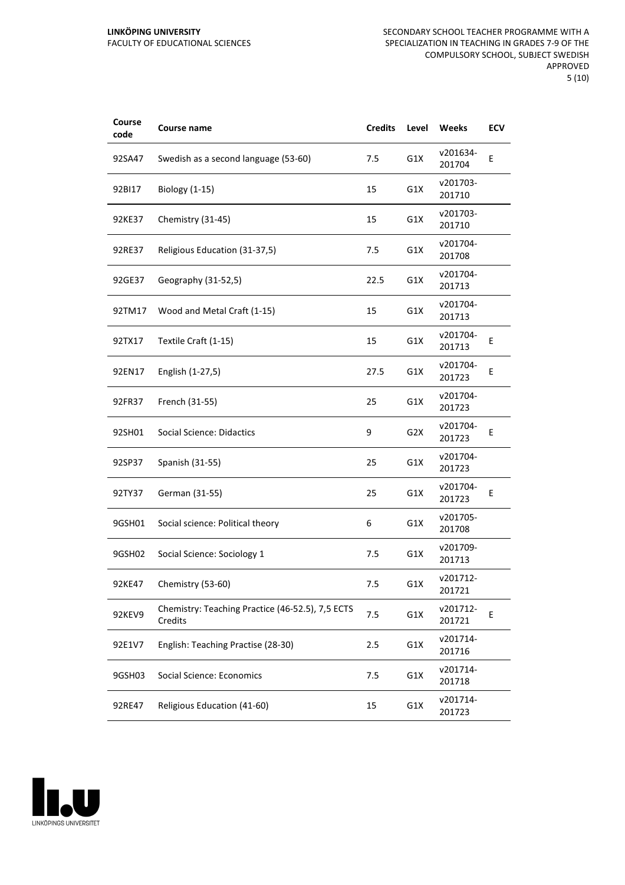| Course<br>code | Course name                                                 | <b>Credits</b> | Level            | Weeks              | ECV |
|----------------|-------------------------------------------------------------|----------------|------------------|--------------------|-----|
| 92SA47         | Swedish as a second language (53-60)                        | 7.5            | G1X              | v201634-<br>201704 | E   |
| 92BI17         | Biology (1-15)                                              | 15             | G1X              | v201703-<br>201710 |     |
| 92KE37         | Chemistry (31-45)                                           | 15             | G1X              | v201703-<br>201710 |     |
| 92RE37         | Religious Education (31-37,5)                               | 7.5            | G1X              | v201704-<br>201708 |     |
| 92GE37         | Geography (31-52,5)                                         | 22.5           | G1X              | v201704-<br>201713 |     |
| 92TM17         | Wood and Metal Craft (1-15)                                 | 15             | G1X              | v201704-<br>201713 |     |
| 92TX17         | Textile Craft (1-15)                                        | 15             | G1X              | v201704-<br>201713 | Ε   |
| 92EN17         | English (1-27,5)                                            | 27.5           | G1X              | v201704-<br>201723 | E   |
| 92FR37         | French (31-55)                                              | 25             | G1X              | v201704-<br>201723 |     |
| 92SH01         | Social Science: Didactics                                   | 9              | G <sub>2</sub> X | v201704-<br>201723 | E   |
| 92SP37         | Spanish (31-55)                                             | 25             | G1X              | v201704-<br>201723 |     |
| 92TY37         | German (31-55)                                              | 25             | G1X              | v201704-<br>201723 | E   |
| 9GSH01         | Social science: Political theory                            | 6              | G1X              | v201705-<br>201708 |     |
| 9GSH02         | Social Science: Sociology 1                                 | 7.5            | G1X              | v201709-<br>201713 |     |
| 92KE47         | Chemistry (53-60)                                           | 7.5            | G1X              | v201712-<br>201721 |     |
| 92KEV9         | Chemistry: Teaching Practice (46-52.5), 7,5 ECTS<br>Credits | 7.5            | G1X              | v201712-<br>201721 | E   |
| 92E1V7         | English: Teaching Practise (28-30)                          | 2.5            | G1X              | v201714-<br>201716 |     |
| 9GSH03         | Social Science: Economics                                   | 7.5            | G1X              | v201714-<br>201718 |     |
| 92RE47         | Religious Education (41-60)                                 | 15             | G1X              | v201714-<br>201723 |     |

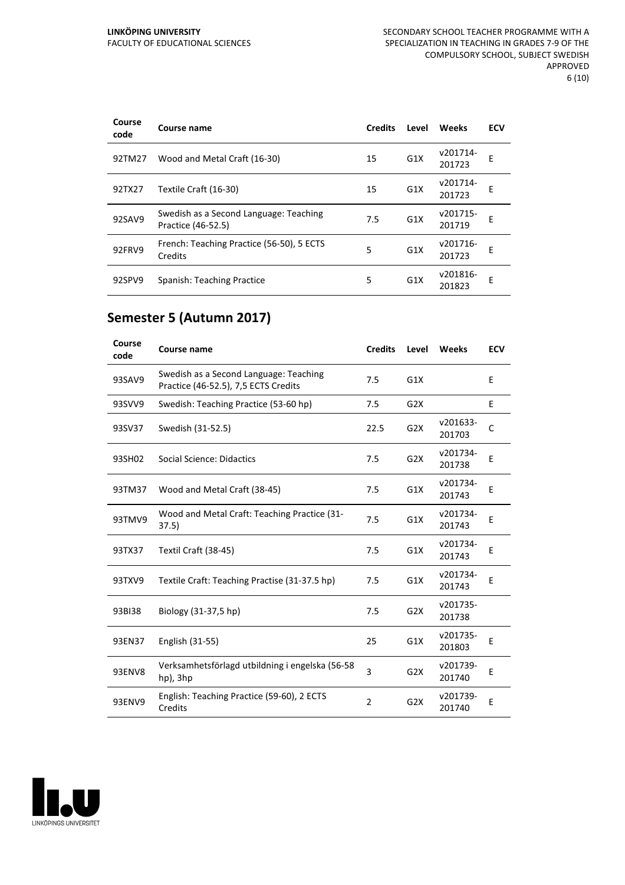| Course<br>code | Course name                                                  | <b>Credits</b> | Level            | Weeks              | <b>ECV</b> |
|----------------|--------------------------------------------------------------|----------------|------------------|--------------------|------------|
| 92TM27         | Wood and Metal Craft (16-30)                                 | 15             | G <sub>1</sub> X | v201714-<br>201723 | E          |
| 92TX27         | Textile Craft (16-30)                                        | 15             | G1X              | v201714-<br>201723 | E          |
| 92SAV9         | Swedish as a Second Language: Teaching<br>Practice (46-52.5) | 7.5            | G1X              | v201715-<br>201719 | E          |
| 92FRV9         | French: Teaching Practice (56-50), 5 ECTS<br>Credits         | 5              | G1X              | v201716-<br>201723 | F          |
| 92SPV9         | Spanish: Teaching Practice                                   | 5              | G <sub>1</sub> X | v201816-<br>201823 | E          |

## **Semester 5 (Autumn 2017)**

| Course<br>code | Course name                                                                    | <b>Credits</b> | Level            | Weeks              | <b>ECV</b> |
|----------------|--------------------------------------------------------------------------------|----------------|------------------|--------------------|------------|
| 93SAV9         | Swedish as a Second Language: Teaching<br>Practice (46-52.5), 7,5 ECTS Credits | 7.5            | G1X              |                    | E          |
| 93SVV9         | Swedish: Teaching Practice (53-60 hp)                                          | 7.5            | G2X              |                    | E          |
| 93SV37         | Swedish (31-52.5)                                                              | 22.5           | G <sub>2</sub> X | v201633-<br>201703 | C          |
| 93SH02         | Social Science: Didactics                                                      | 7.5            | G2X              | v201734-<br>201738 | E          |
| 93TM37         | Wood and Metal Craft (38-45)                                                   | 7.5            | G1X              | v201734-<br>201743 | E          |
| 93TMV9         | Wood and Metal Craft: Teaching Practice (31-<br>37.5)                          | 7.5            | G1X              | v201734-<br>201743 | E          |
| 93TX37         | Textil Craft (38-45)                                                           | 7.5            | G1X              | v201734-<br>201743 | Ε          |
| 93TXV9         | Textile Craft: Teaching Practise (31-37.5 hp)                                  | 7.5            | G1X              | v201734-<br>201743 | E          |
| 93BI38         | Biology (31-37,5 hp)                                                           | 7.5            | G <sub>2</sub> X | v201735-<br>201738 |            |
| 93EN37         | English (31-55)                                                                | 25             | G1X              | v201735-<br>201803 | E          |
| <b>93ENV8</b>  | Verksamhetsförlagd utbildning i engelska (56-58<br>hp), 3hp                    | 3              | G2X              | v201739-<br>201740 | E          |
| 93ENV9         | English: Teaching Practice (59-60), 2 ECTS<br>Credits                          | $\overline{2}$ | G2X              | v201739-<br>201740 | Ε          |

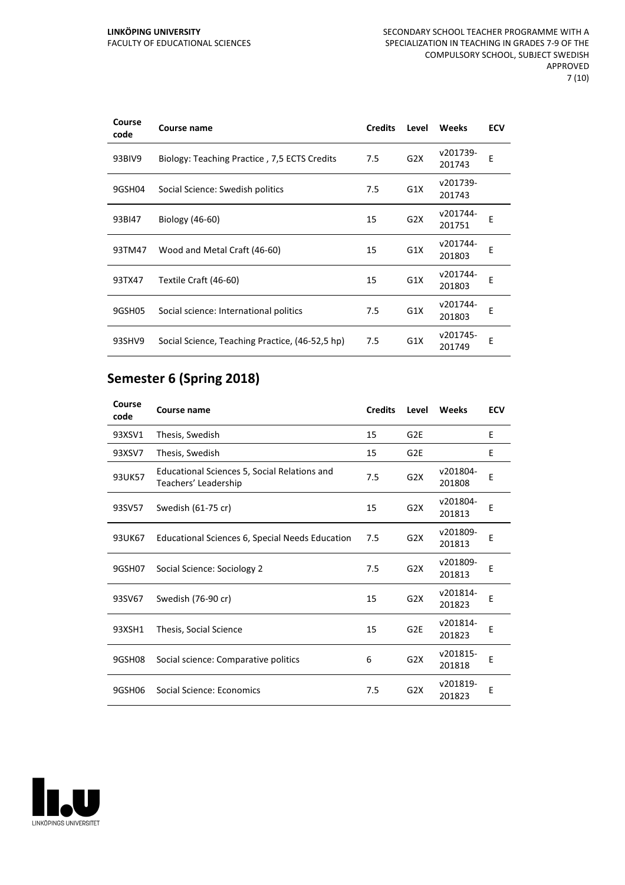| Course<br>code | Course name                                     | <b>Credits</b> | Level            | Weeks              | <b>ECV</b> |
|----------------|-------------------------------------------------|----------------|------------------|--------------------|------------|
| 93BIV9         | Biology: Teaching Practice, 7,5 ECTS Credits    | 7.5            | G <sub>2</sub> X | v201739-<br>201743 | E          |
| 9GSH04         | Social Science: Swedish politics                | 7.5            | G1X              | v201739-<br>201743 |            |
| 93BI47         | Biology (46-60)                                 | 15             | G <sub>2</sub> X | v201744-<br>201751 | E          |
| 93TM47         | Wood and Metal Craft (46-60)                    | 15             | G1X              | v201744-<br>201803 | E          |
| 93TX47         | Textile Craft (46-60)                           | 15             | G1X              | v201744-<br>201803 | E          |
| 9GSH05         | Social science: International politics          | 7.5            | G1X              | v201744-<br>201803 | E          |
| 93SHV9         | Social Science, Teaching Practice, (46-52,5 hp) | 7.5            | G <sub>1</sub> X | v201745-<br>201749 | E          |

# **Semester 6 (Spring 2018)**

| Course<br>code | Course name                                                          | <b>Credits</b> | Level            | Weeks              | <b>ECV</b> |
|----------------|----------------------------------------------------------------------|----------------|------------------|--------------------|------------|
| 93XSV1         | Thesis, Swedish                                                      | 15             | G <sub>2E</sub>  |                    | E          |
| 93XSV7         | Thesis, Swedish                                                      | 15             | G <sub>2E</sub>  |                    | E          |
| 93UK57         | Educational Sciences 5, Social Relations and<br>Teachers' Leadership | 7.5            | G2X              | v201804-<br>201808 | E          |
| 93SV57         | Swedish (61-75 cr)                                                   | 15             | G2X              | v201804-<br>201813 | Ε          |
| 93UK67         | Educational Sciences 6, Special Needs Education                      | 7.5            | G <sub>2</sub> X | v201809-<br>201813 | E          |
| 9GSH07         | Social Science: Sociology 2                                          | 7.5            | G2X              | v201809-<br>201813 | E          |
| 93SV67         | Swedish (76-90 cr)                                                   | 15             | G <sub>2</sub> X | v201814-<br>201823 | E          |
| 93XSH1         | Thesis, Social Science                                               | 15             | G <sub>2E</sub>  | v201814-<br>201823 | E          |
| 9GSH08         | Social science: Comparative politics                                 | 6              | G2X              | v201815-<br>201818 | E          |
| 9GSH06         | Social Science: Economics                                            | 7.5            | G2X              | v201819-<br>201823 | E          |

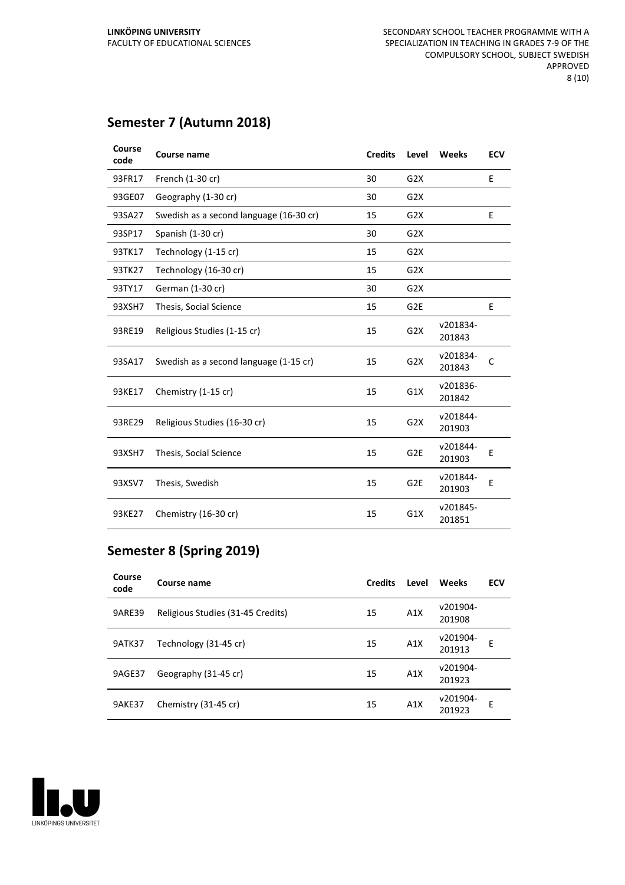## **Semester 7 (Autumn 2018)**

| Course<br>code | Course name                             | <b>Credits</b> | Level            | Weeks              | <b>ECV</b> |
|----------------|-----------------------------------------|----------------|------------------|--------------------|------------|
| 93FR17         | French (1-30 cr)                        | 30             | G2X              |                    | E          |
| 93GE07         | Geography (1-30 cr)                     | 30             | G2X              |                    |            |
| 93SA27         | Swedish as a second language (16-30 cr) | 15             | G2X              |                    | E          |
| 93SP17         | Spanish (1-30 cr)                       | 30             | G2X              |                    |            |
| 93TK17         | Technology (1-15 cr)                    | 15             | G2X              |                    |            |
| 93TK27         | Technology (16-30 cr)                   | 15             | G <sub>2</sub> X |                    |            |
| 93TY17         | German (1-30 cr)                        | 30             | G2X              |                    |            |
| 93XSH7         | Thesis, Social Science                  | 15             | G <sub>2E</sub>  |                    | E          |
| 93RE19         | Religious Studies (1-15 cr)             | 15             | G <sub>2</sub> X | v201834-<br>201843 |            |
| 93SA17         | Swedish as a second language (1-15 cr)  | 15             | G2X              | v201834-<br>201843 | C          |
| 93KE17         | Chemistry (1-15 cr)                     | 15             | G1X              | v201836-<br>201842 |            |
| 93RE29         | Religious Studies (16-30 cr)            | 15             | G2X              | v201844-<br>201903 |            |
| 93XSH7         | Thesis, Social Science                  | 15             | G <sub>2E</sub>  | v201844-<br>201903 | E          |
| 93XSV7         | Thesis, Swedish                         | 15             | G <sub>2E</sub>  | v201844-<br>201903 | E          |
| 93KE27         | Chemistry (16-30 cr)                    | 15             | G1X              | v201845-<br>201851 |            |

# **Semester 8 (Spring 2019)**

| Course<br>code | Course name                       | <b>Credits</b> | Level | Weeks              | <b>ECV</b> |
|----------------|-----------------------------------|----------------|-------|--------------------|------------|
| <b>9ARE39</b>  | Religious Studies (31-45 Credits) | 15             | A1X   | v201904-<br>201908 |            |
| <b>9ATK37</b>  | Technology (31-45 cr)             | 15             | A1X   | v201904-<br>201913 | E          |
| 9AGE37         | Geography (31-45 cr)              | 15             | A1X   | v201904-<br>201923 |            |
| 9AKE37         | Chemistry (31-45 cr)              | 15             | A1X   | v201904-<br>201923 | Е          |

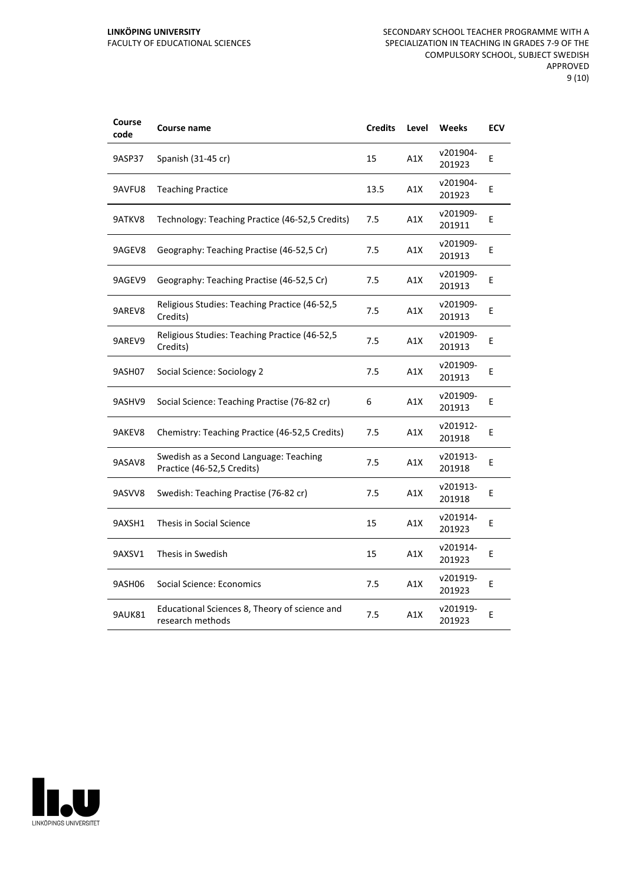| Course<br>code | Course name                                                          | <b>Credits</b> | Level | <b>Weeks</b>       | <b>ECV</b> |
|----------------|----------------------------------------------------------------------|----------------|-------|--------------------|------------|
| 9ASP37         | Spanish (31-45 cr)                                                   | 15             | A1X   | v201904-<br>201923 | E          |
| 9AVFU8         | <b>Teaching Practice</b>                                             | 13.5           | A1X   | v201904-<br>201923 | E          |
| 9ATKV8         | Technology: Teaching Practice (46-52,5 Credits)                      | 7.5            | A1X   | v201909-<br>201911 | E          |
| 9AGEV8         | Geography: Teaching Practise (46-52,5 Cr)                            | 7.5            | A1X   | v201909-<br>201913 | E          |
| 9AGEV9         | Geography: Teaching Practise (46-52,5 Cr)                            | 7.5            | A1X   | v201909-<br>201913 | E          |
| 9AREV8         | Religious Studies: Teaching Practice (46-52,5<br>Credits)            | 7.5            | A1X   | v201909-<br>201913 | Е          |
| 9AREV9         | Religious Studies: Teaching Practice (46-52,5)<br>Credits)           | 7.5            | A1X   | v201909-<br>201913 | E          |
| 9ASH07         | Social Science: Sociology 2                                          | 7.5            | A1X   | v201909-<br>201913 | E          |
| 9ASHV9         | Social Science: Teaching Practise (76-82 cr)                         | 6              | A1X   | v201909-<br>201913 | E          |
| 9AKEV8         | Chemistry: Teaching Practice (46-52,5 Credits)                       | 7.5            | A1X   | v201912-<br>201918 | E          |
| 9ASAV8         | Swedish as a Second Language: Teaching<br>Practice (46-52,5 Credits) | 7.5            | A1X   | v201913-<br>201918 | E          |
| 9ASVV8         | Swedish: Teaching Practise (76-82 cr)                                | 7.5            | A1X   | v201913-<br>201918 | E          |
| 9AXSH1         | Thesis in Social Science                                             | 15             | A1X   | v201914-<br>201923 | E          |
| 9AXSV1         | Thesis in Swedish                                                    | 15             | A1X   | v201914-<br>201923 | Ε          |
| 9ASH06         | Social Science: Economics                                            | 7.5            | A1X   | v201919-<br>201923 | E          |
| 9AUK81         | Educational Sciences 8, Theory of science and<br>research methods    | 7.5            | A1X   | v201919-<br>201923 | E          |